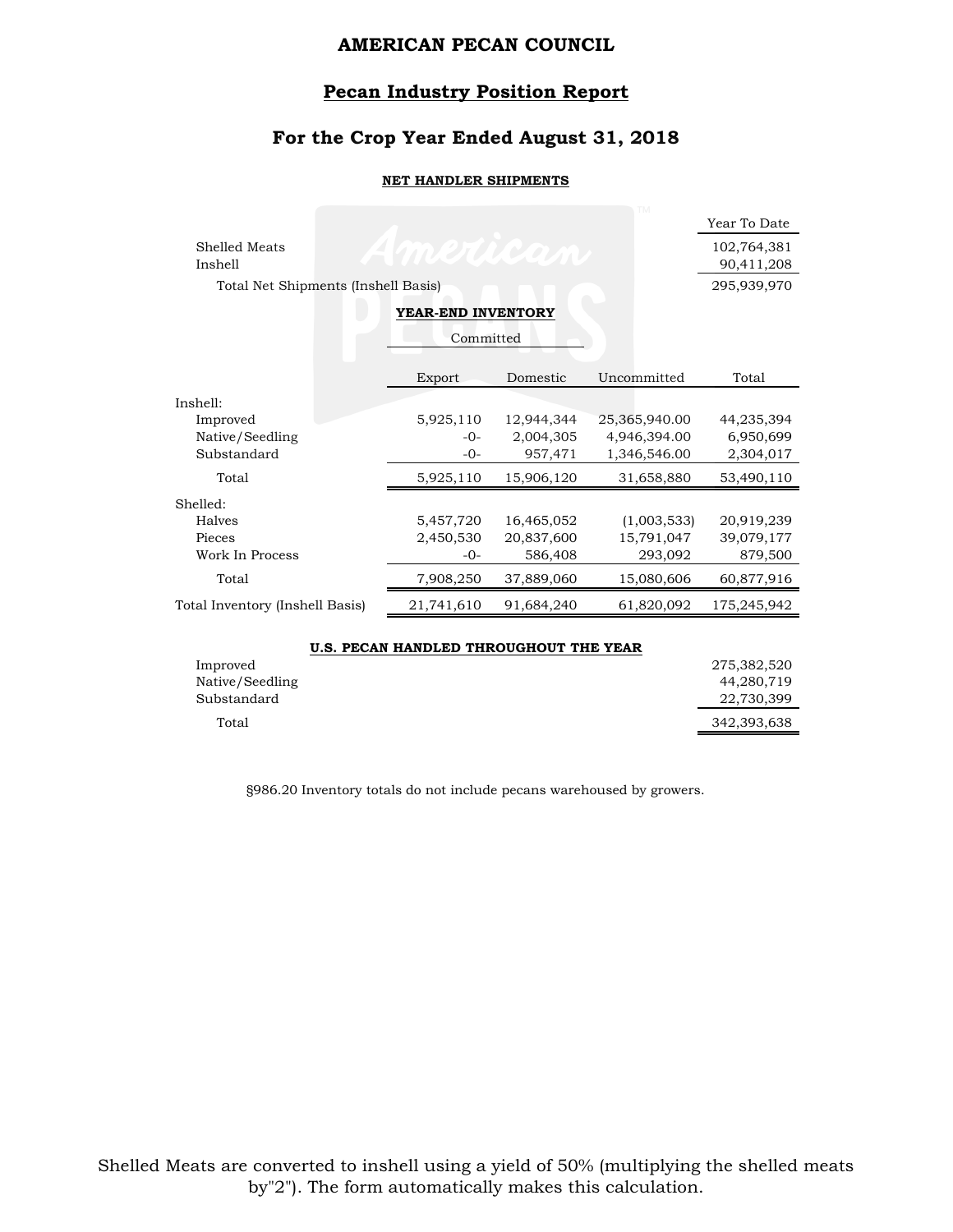#### **Pecan Industry Position Report**

### **For the Crop Year Ended August 31, 2018**

#### **NET HANDLER SHIPMENTS**

|                                     |  | Year To Date |  |  |
|-------------------------------------|--|--------------|--|--|
| Shelled Meats<br><i>VIRZUKELD</i>   |  | 102,764,381  |  |  |
| Inshell                             |  | 90,411,208   |  |  |
| Total Net Shipments (Inshell Basis) |  | 295,939,970  |  |  |
| VFAD FND INVFNTODV                  |  |              |  |  |

#### **YEAR-END INVENTORY**

|                                 | Committed  |            |               |             |
|---------------------------------|------------|------------|---------------|-------------|
|                                 | Export     | Domestic   | Uncommitted   | Total       |
| Inshell:                        |            |            |               |             |
| Improved                        | 5,925,110  | 12,944,344 | 25,365,940.00 | 44,235,394  |
| Native/Seedling                 | $-0-$      | 2,004,305  | 4,946,394.00  | 6,950,699   |
| Substandard                     | $-0-$      | 957,471    | 1,346,546.00  | 2,304,017   |
| Total                           | 5,925,110  | 15,906,120 | 31,658,880    | 53,490,110  |
| Shelled:                        |            |            |               |             |
| Halves                          | 5,457,720  | 16,465,052 | (1,003,533)   | 20,919,239  |
| Pieces                          | 2,450,530  | 20,837,600 | 15,791,047    | 39,079,177  |
| Work In Process                 | $-0-$      | 586,408    | 293,092       | 879,500     |
| Total                           | 7,908,250  | 37,889,060 | 15,080,606    | 60,877,916  |
| Total Inventory (Inshell Basis) | 21,741,610 | 91,684,240 | 61,820,092    | 175,245,942 |
|                                 |            |            |               |             |

|                 | U.S. PECAN HANDLED THROUGHOUT THE YEAR |             |
|-----------------|----------------------------------------|-------------|
| Improved        |                                        | 275,382,520 |
| Native/Seedling |                                        | 44,280,719  |
| Substandard     |                                        | 22,730,399  |
| Total           |                                        | 342,393,638 |

§986.20 Inventory totals do not include pecans warehoused by growers.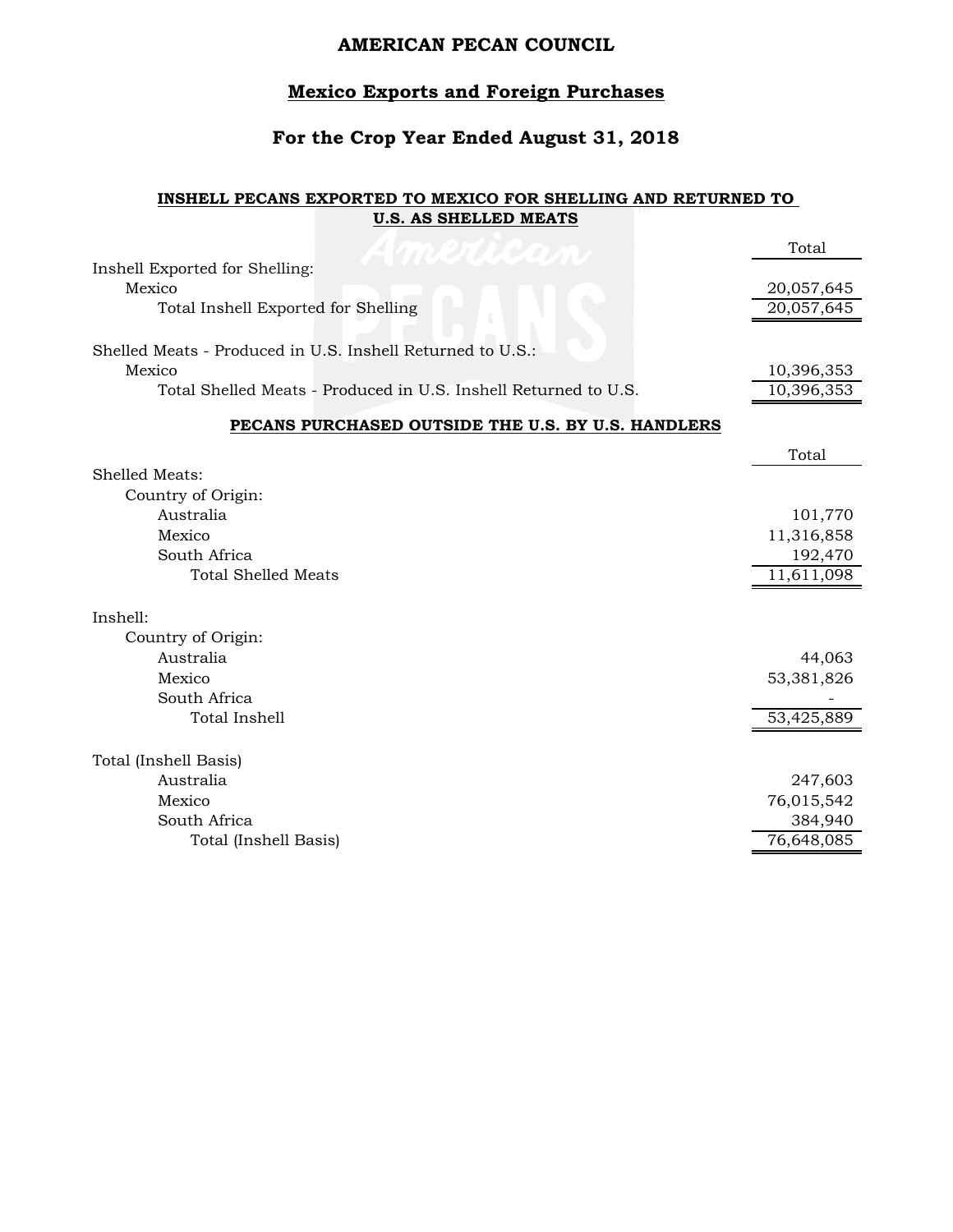### **Mexico Exports and Foreign Purchases**

#### **For the Crop Year Ended August 31, 2018**

#### **INSHELL PECANS EXPORTED TO MEXICO FOR SHELLING AND RETURNED TO U.S. AS SHELLED MEATS**

|                                                                 | Total                   |
|-----------------------------------------------------------------|-------------------------|
| Inshell Exported for Shelling:                                  |                         |
| Mexico                                                          | 20,057,645              |
| Total Inshell Exported for Shelling                             | 20,057,645              |
| Shelled Meats - Produced in U.S. Inshell Returned to U.S.:      |                         |
| Mexico                                                          | 10,396,353              |
| Total Shelled Meats - Produced in U.S. Inshell Returned to U.S. | 10,396,353              |
| PECANS PURCHASED OUTSIDE THE U.S. BY U.S. HANDLERS              |                         |
|                                                                 | Total                   |
| Shelled Meats:                                                  |                         |
| Country of Origin:                                              |                         |
| Australia                                                       | 101,770                 |
| Mexico                                                          | 11,316,858              |
| South Africa                                                    | 192,470                 |
| <b>Total Shelled Meats</b>                                      | $\overline{11,611,098}$ |
| Inshell:                                                        |                         |
| Country of Origin:                                              |                         |
| Australia                                                       | 44,063                  |
| Mexico                                                          | 53,381,826              |
| South Africa                                                    |                         |
| Total Inshell                                                   | 53,425,889              |
|                                                                 |                         |
| Total (Inshell Basis)                                           |                         |
| Australia                                                       | 247,603                 |
| Mexico                                                          | 76,015,542              |
| South Africa                                                    | 384,940                 |
| Total (Inshell Basis)                                           | 76,648,085              |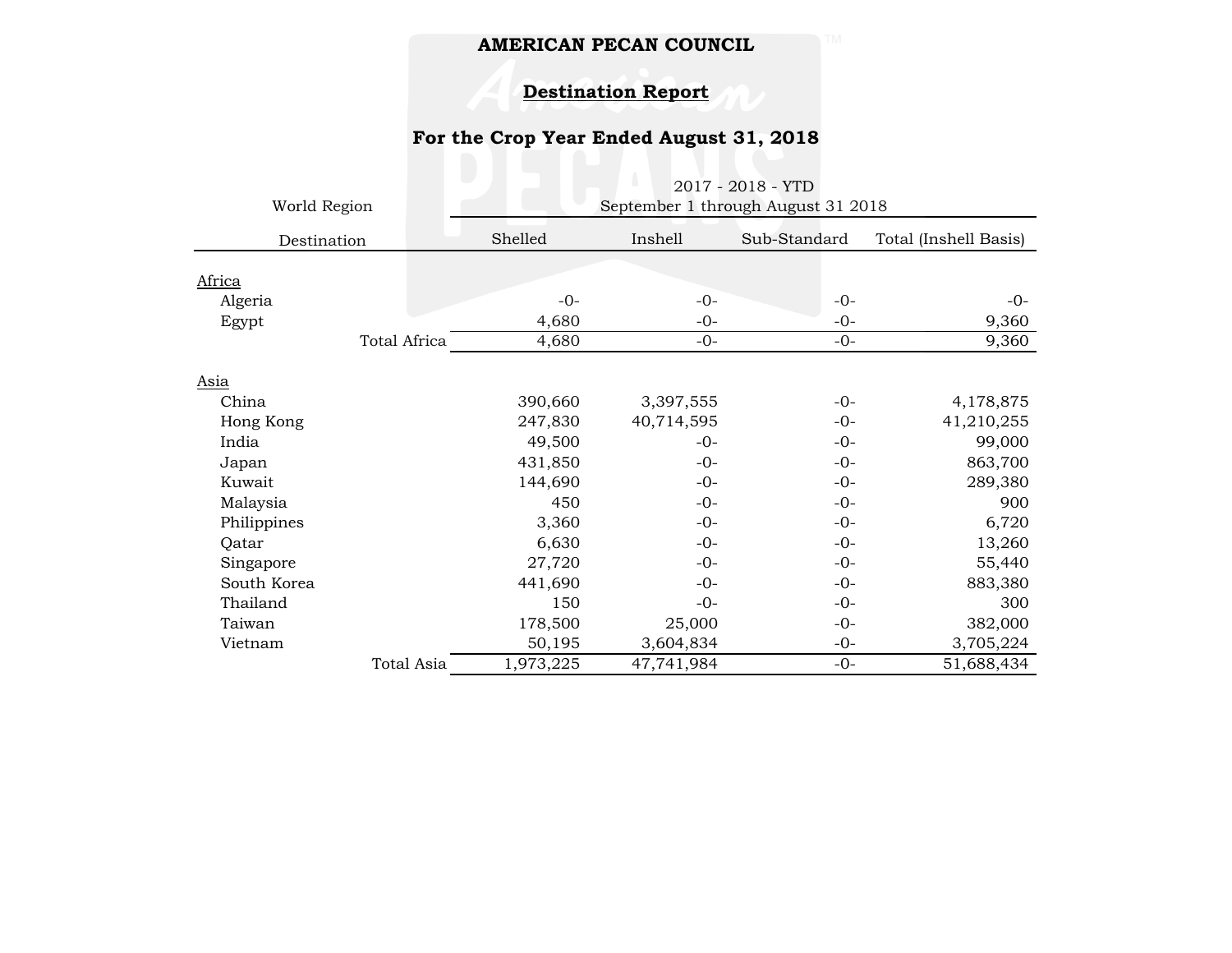# **Destination Report**

# **For the Crop Year Ended August 31, 2018**

| World Region<br>Destination |              | U.<br>2017 - 2018 - YTD<br>September 1 through August 31 2018 |            |              |                       |
|-----------------------------|--------------|---------------------------------------------------------------|------------|--------------|-----------------------|
|                             |              | Shelled                                                       | Inshell    | Sub-Standard | Total (Inshell Basis) |
| Africa                      |              |                                                               |            |              |                       |
| Algeria                     |              | $-0-$                                                         | $-0-$      | $-0-$        | $-0-$                 |
| Egypt                       |              | 4,680                                                         | $-0-$      | $-0-$        | 9,360                 |
|                             | Total Africa | 4,680                                                         | $-0-$      | $-()$ -      | 9,360                 |
| Asia                        |              |                                                               |            |              |                       |
| China                       |              | 390,660                                                       | 3,397,555  | $-0-$        | 4,178,875             |
| Hong Kong                   |              | 247,830                                                       | 40,714,595 | $-0-$        | 41,210,255            |
| India                       |              | 49,500                                                        | $-0-$      | $-0-$        | 99,000                |
| Japan                       |              | 431,850                                                       | $-0-$      | $-0-$        | 863,700               |
| Kuwait                      |              | 144,690                                                       | $-0-$      | $-0-$        | 289,380               |
| Malaysia                    |              | 450                                                           | $-0-$      | $-0-$        | 900                   |
| Philippines                 |              | 3,360                                                         | $-0-$      | $-0-$        | 6,720                 |
| Qatar                       |              | 6,630                                                         | $-0-$      | $-0-$        | 13,260                |
| Singapore                   |              | 27,720                                                        | $-0-$      | $-0-$        | 55,440                |
| South Korea                 |              | 441,690                                                       | $-0-$      | $-0-$        | 883,380               |
| Thailand                    |              | 150                                                           | $-0-$      | $-0-$        | 300                   |
| Taiwan                      |              | 178,500                                                       | 25,000     | $-0-$        | 382,000               |
| Vietnam                     |              | 50,195                                                        | 3,604,834  | $-0-$        | 3,705,224             |
|                             | Total Asia   | 1,973,225                                                     | 47,741,984 | $-0-$        | 51,688,434            |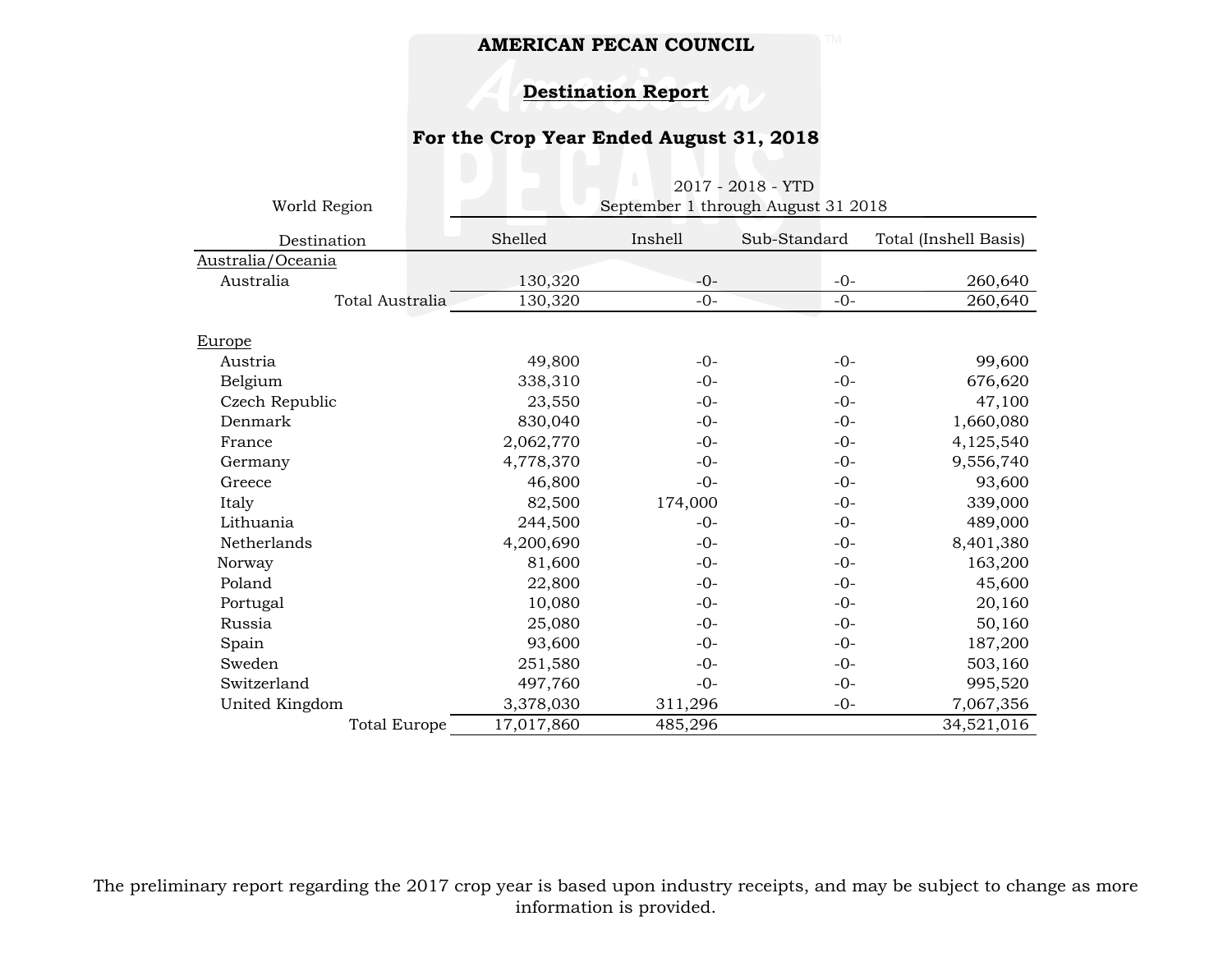#### **Destination Report**

### **For the Crop Year Ended August 31, 2018**

|                     |            | U.<br>2017 - 2018 - YTD            |              |                       |
|---------------------|------------|------------------------------------|--------------|-----------------------|
| World Region        |            | September 1 through August 31 2018 |              |                       |
| Destination         | Shelled    | Inshell                            | Sub-Standard | Total (Inshell Basis) |
| Australia/Oceania   |            |                                    |              |                       |
| Australia           | 130,320    | $-0-$                              | $-0-$        | 260,640               |
| Total Australia     | 130,320    | $-0-$                              | $-0-$        | 260,640               |
|                     |            |                                    |              |                       |
| E <u>urope</u>      |            |                                    |              |                       |
| Austria             | 49,800     | $-0-$                              | $-0-$        | 99,600                |
| Belgium             | 338,310    | $-0-$                              | $-0-$        | 676,620               |
| Czech Republic      | 23,550     | $-0-$                              | $-0-$        | 47,100                |
| Denmark             | 830,040    | $-0-$                              | $-0-$        | 1,660,080             |
| France              | 2,062,770  | $-0-$                              | $-0-$        | 4,125,540             |
| Germany             | 4,778,370  | $-0-$                              | $-0-$        | 9,556,740             |
| Greece              | 46,800     | $-0-$                              | $-0-$        | 93,600                |
| Italy               | 82,500     | 174,000                            | $-0-$        | 339,000               |
| Lithuania           | 244,500    | $-0-$                              | $-0-$        | 489,000               |
| Netherlands         | 4,200,690  | $-0-$                              | $-0-$        | 8,401,380             |
| Norway              | 81,600     | $-0-$                              | $-0-$        | 163,200               |
| Poland              | 22,800     | $-0-$                              | $-0-$        | 45,600                |
| Portugal            | 10,080     | $-0-$                              | $-0-$        | 20,160                |
| Russia              | 25,080     | $-0-$                              | $-0-$        | 50,160                |
| Spain               | 93,600     | $-0-$                              | $-0-$        | 187,200               |
| Sweden              | 251,580    | $-0-$                              | $-0-$        | 503,160               |
| Switzerland         | 497,760    | $-0-$                              | $-0-$        | 995,520               |
| United Kingdom      | 3,378,030  | 311,296                            | $-0-$        | 7,067,356             |
| <b>Total Europe</b> | 17,017,860 | 485,296                            |              | 34,521,016            |

The preliminary report regarding the 2017 crop year is based upon industry receipts, and may be subject to change as more information is provided.